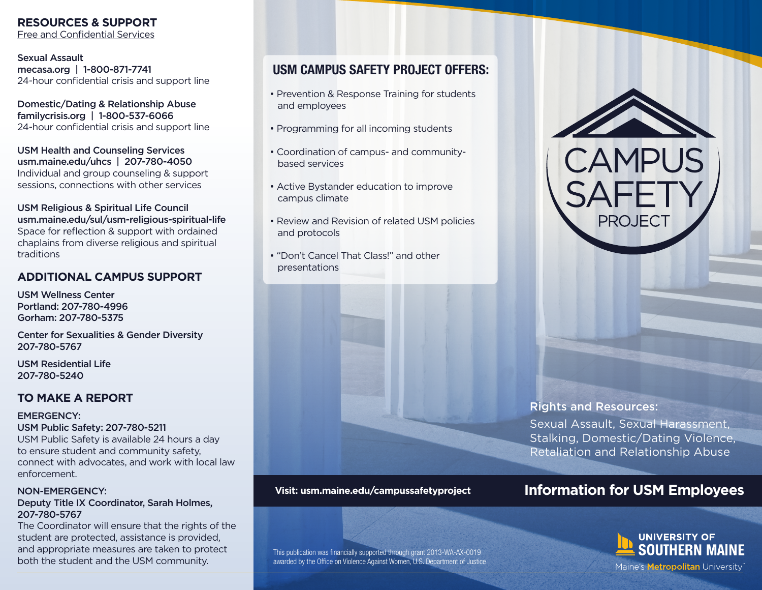## **RESOURCES & SUPPORT**

Free and Confidential Services

Sexual Assault mecasa.org | 1-800-871-7741 24-hour confidential crisis and support line

Domestic/Dating & Relationship Abuse familycrisis.org | 1-800-537-6066 24-hour confidential crisis and support line

USM Health and Counseling Services usm.maine.edu/uhcs | 207-780-4050 Individual and group counseling & support sessions, connections with other services

USM Religious & Spiritual Life Council usm.maine.edu/sul/usm-religious-spiritual-life Space for reflection & support with ordained chaplains from diverse religious and spiritual traditions

### **ADDITIONAL CAMPUS SUPPORT**

USM Wellness Center Portland: 207-780-4996 Gorham: 207-780-5375

Center for Sexualities & Gender Diversity 207-780-5767

USM Residential Life 207-780-5240

### **TO MAKE A REPORT**

#### EMERGENCY:

USM Public Safety: 207-780-5211

USM Public Safety is available 24 hours a day to ensure student and community safety, connect with advocates, and work with local law enforcement.

### NON-EMERGENCY:

#### Deputy Title IX Coordinator, Sarah Holmes, 207-780-5767

The Coordinator will ensure that the rights of the student are protected, assistance is provided, and appropriate measures are taken to protect both the student and the USM community.

# USM CAMPUS SAFETY PROJECT OFFERS:

- Prevention & Response Training for students and employees
- Programming for all incoming students
- Coordination of campus- and community based services
- Active Bystander education to improve campus climate
- Review and Revision of related USM policies and protocols
- "Don't Cancel That Class!" and other presentations



#### This publication was financially supported through grant 2013-WA-AX-0019 awarded by the Office on Violence Against Women, U.S. Department of Justice



PROJFC

### Rights and Resources:

Sexual Assault, Sexual Harassment, Stalking, Domestic/Dating Violence, Retaliation and Relationship Abuse

# **Information for USM Employees**